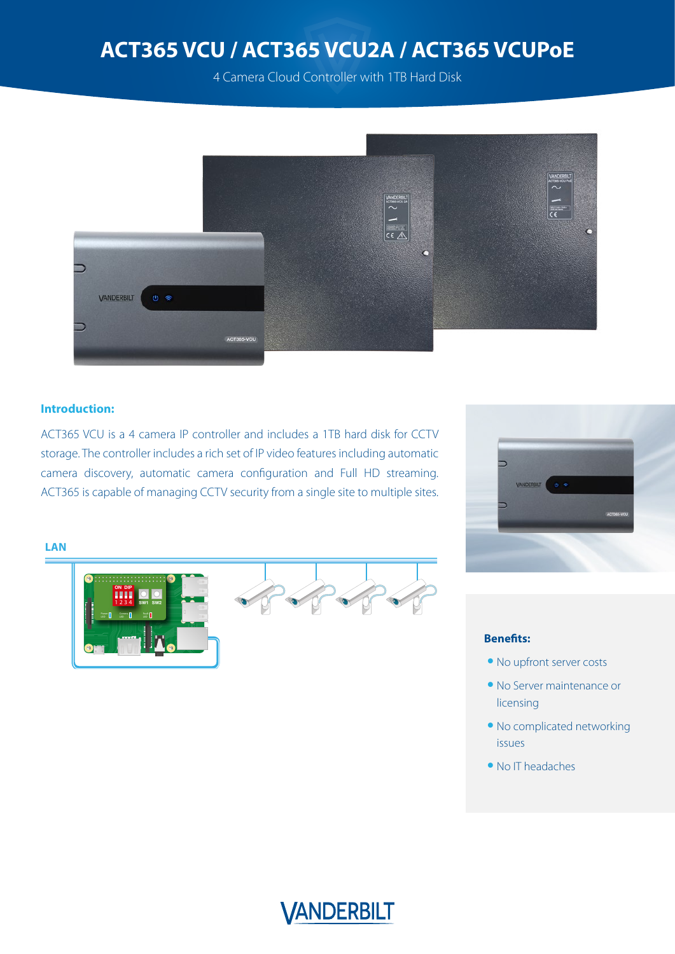4 Camera Cloud Controller with 1TB Hard Disk



### **Introduction:**

ACT365 VCU is a 4 camera IP controller and includes a 1TB hard disk for CCTV storage. The controller includes a rich set of IP video features including automatic camera discovery, automatic camera configuration and Full HD streaming. ACT365 is capable of managing CCTV security from a single site to multiple sites.



#### **Benefits:**

- **•** No upfront server costs
- **•** No Server maintenance or licensing
- **•** No complicated networking issues
- **•** No IT headaches



#### **LAN**

1234 ON DIP

SW1 SW2

an na n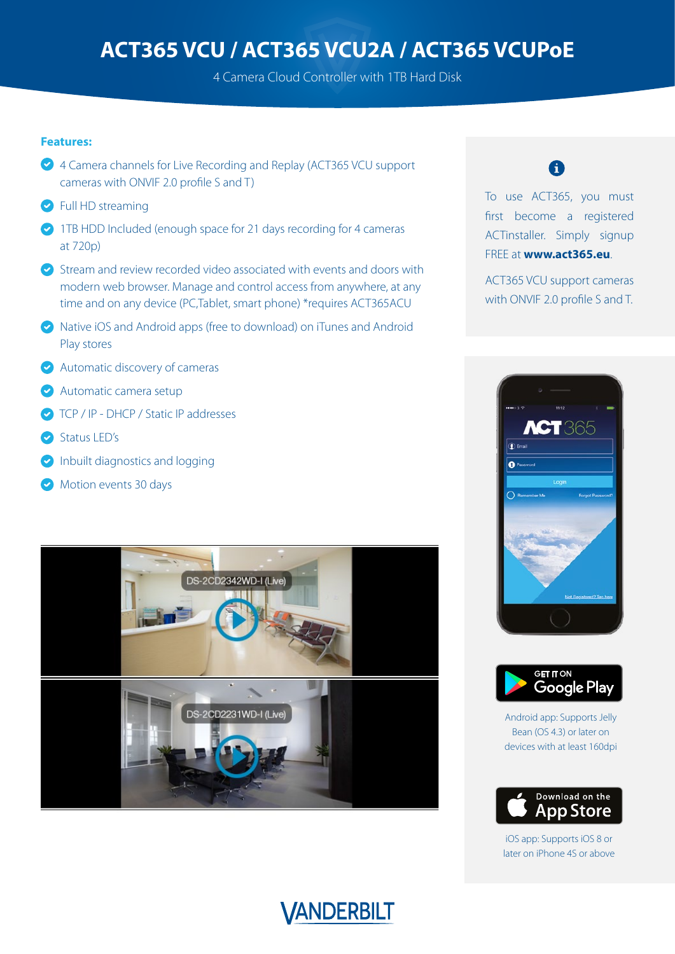4 Camera Cloud Controller with 1TB Hard Disk

#### **Features:**

- ◆ 4 Camera channels for Live Recording and Replay (ACT365 VCU support cameras with ONVIF 2.0 profile S and T)
- **P** Full HD streaming
- 1TB HDD Included (enough space for 21 days recording for 4 cameras at 720p)
- $\bullet$  Stream and review recorded video associated with events and doors with modern web browser. Manage and control access from anywhere, at any time and on any device (PC,Tablet, smart phone) \*requires ACT365ACU
- Native iOS and Android apps (free to download) on iTunes and Android Play stores
- Automatic discovery of cameras
- Automatic camera setup
- **O** TCP / IP DHCP / Static IP addresses
- Status LED's
- **Inbuilt diagnostics and logging**
- Motion events 30 days



### A

To use ACT365, you must first become a registered ACTinstaller. Simply signup FREE at **www.act365.eu**.

ACT365 VCU support cameras with ONVIF 2.0 profile S and T.





Android app: Supports Jelly Bean (OS 4.3) or later on devices with at least 160dpi



iOS app: Supports iOS 8 or later on iPhone 4S or above

## VANDERBILT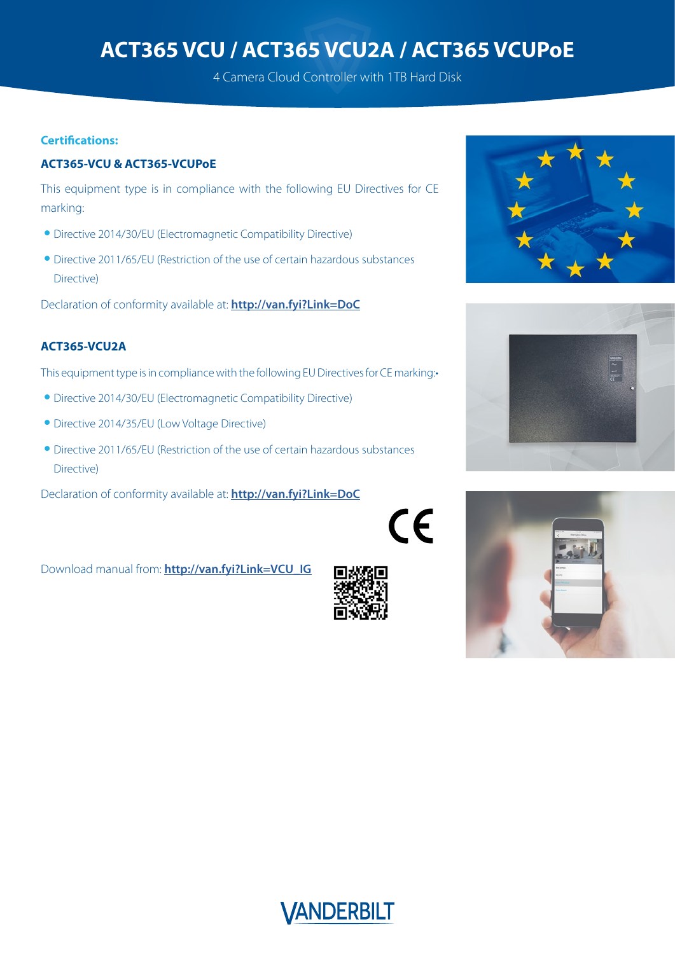4 Camera Cloud Controller with 1TB Hard Disk

#### **Certifications:**

### **ACT365-VCU & ACT365-VCUPoE**

This equipment type is in compliance with the following EU Directives for CE marking:

- **•** Directive 2014/30/EU (Electromagnetic Compatibility Directive)
- **•** Directive 2011/65/EU (Restriction of the use of certain hazardous substances Directive)

Declaration of conformity available at: **<http://van.fyi?Link=DoC>**

### **ACT365-VCU2A**

This equipment type is in compliance with the following EU Directives for CE marking:•

- **•** Directive 2014/30/EU (Electromagnetic Compatibility Directive)
- **•** Directive 2014/35/EU (Low Voltage Directive)
- **•** Directive 2011/65/EU (Restriction of the use of certain hazardous substances Directive)

Declaration of conformity available at: **http://van.fyi?Link=DoC**











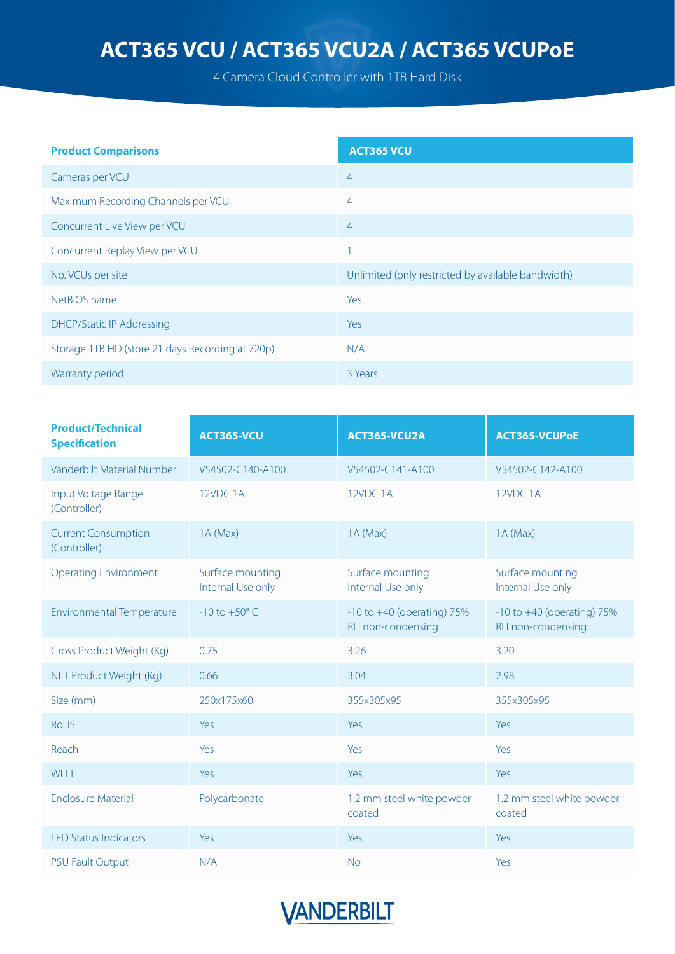4 Camera Cloud Controller with 1TB Hard Disk

| <b>Product Comparisons</b>                       | <b>ACT365 VCU</b>                                  |
|--------------------------------------------------|----------------------------------------------------|
| Cameras per VCU                                  | $\overline{4}$                                     |
| Maximum Recording Channels per VCU               | $\overline{4}$                                     |
| Concurrent Live View per VCU                     | $\overline{4}$                                     |
| Concurrent Replay View per VCU                   |                                                    |
| No. VCUs per site                                | Unlimited (only restricted by available bandwidth) |
| NetBIOS name                                     | Yes                                                |
| <b>DHCP/Static IP Addressing</b>                 | Yes                                                |
| Storage 1TB HD (store 21 days Recording at 720p) | N/A                                                |
| Warranty period                                  | 3 Years                                            |

| <b>Product/Technical</b><br><b>Specification</b> | ACT365-VCU                            | ACT365-VCU2A                                        | <b>ACT365-VCUPoE</b>                                |  |
|--------------------------------------------------|---------------------------------------|-----------------------------------------------------|-----------------------------------------------------|--|
| Vanderbilt Material Number                       | V54502-C140-A100                      | V54502-C141-A100                                    | V54502-C142-A100                                    |  |
| Input Voltage Range<br>(Controller)              | 12VDC 1A                              | 12VDC 1A                                            | 12VDC 1A                                            |  |
| <b>Current Consumption</b><br>(Controller)       | 1A (Max)                              | 1A (Max)                                            | 1A (Max)                                            |  |
| <b>Operating Environment</b>                     | Surface mounting<br>Internal Use only | Surface mounting<br>Internal Use only               | Surface mounting<br>Internal Use only               |  |
| <b>Environmental Temperature</b>                 | $-10$ to $+50^{\circ}$ C              | $-10$ to $+40$ (operating) 75%<br>RH non-condensing | $-10$ to $+40$ (operating) 75%<br>RH non-condensing |  |
| Gross Product Weight (Kg)                        | 0.75                                  | 3.26                                                | 3.20                                                |  |
| NET Product Weight (Kg)                          | 0.66                                  | 3.04                                                | 2.98                                                |  |
| Size (mm)                                        | 250x175x60                            | 355x305x95                                          | 355x305x95                                          |  |
| <b>RoHS</b>                                      | Yes                                   | <b>Yes</b>                                          | Yes                                                 |  |
| Reach                                            | Yes                                   | Yes                                                 | Yes                                                 |  |
| <b>WEEE</b>                                      | Yes                                   | Yes                                                 | Yes                                                 |  |
| <b>Enclosure Material</b>                        | Polycarbonate                         | 1.2 mm steel white powder<br>coated                 | 1.2 mm steel white powder<br>coated                 |  |
| <b>LED Status Indicators</b>                     | Yes                                   | <b>Yes</b>                                          | Yes                                                 |  |
| <b>PSU Fault Output</b>                          | N/A                                   | <b>No</b>                                           | Yes                                                 |  |